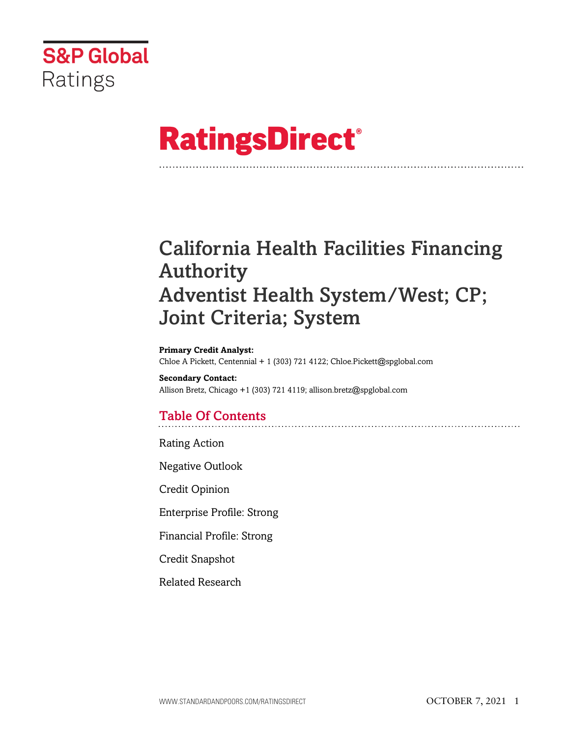

# **RatingsDirect®**

## California Health Facilities Financing Authority Adventist Health System/West; CP; Joint Criteria; System

**Primary Credit Analyst:** Chloe A Pickett, Centennial + 1 (303) 721 4122; Chloe.Pickett@spglobal.com

**Secondary Contact:** Allison Bretz, Chicago +1 (303) 721 4119; allison.bretz@spglobal.com

## Table Of Contents

Rating Action

Negative Outlook

Credit Opinion

Enterprise Profile: Strong

Financial Profile: Strong

Credit Snapshot

Related Research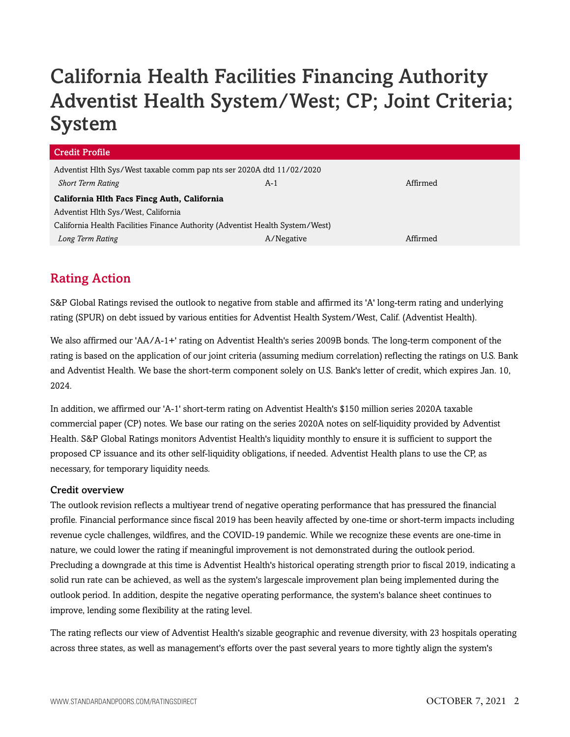## California Health Facilities Financing Authority Adventist Health System/West; CP; Joint Criteria; System

| Credit Profile                                                                |            |          |  |  |  |  |
|-------------------------------------------------------------------------------|------------|----------|--|--|--|--|
| Adventist Hlth Sys/West taxable comm pap nts ser 2020A dtd 11/02/2020         |            |          |  |  |  |  |
| <b>Short Term Rating</b>                                                      | $A-1$      | Affirmed |  |  |  |  |
| California Hlth Facs Fincg Auth, California                                   |            |          |  |  |  |  |
| Adventist Hlth Sys/West, California                                           |            |          |  |  |  |  |
| California Health Facilities Finance Authority (Adventist Health System/West) |            |          |  |  |  |  |
| Long Term Rating                                                              | A/Negative | Affirmed |  |  |  |  |
|                                                                               |            |          |  |  |  |  |

## Rating Action

S&P Global Ratings revised the outlook to negative from stable and affirmed its 'A' long-term rating and underlying rating (SPUR) on debt issued by various entities for Adventist Health System/West, Calif. (Adventist Health).

We also affirmed our 'AA/A-1+' rating on Adventist Health's series 2009B bonds. The long-term component of the rating is based on the application of our joint criteria (assuming medium correlation) reflecting the ratings on U.S. Bank and Adventist Health. We base the short-term component solely on U.S. Bank's letter of credit, which expires Jan. 10, 2024.

In addition, we affirmed our 'A-1' short-term rating on Adventist Health's \$150 million series 2020A taxable commercial paper (CP) notes. We base our rating on the series 2020A notes on self-liquidity provided by Adventist Health. S&P Global Ratings monitors Adventist Health's liquidity monthly to ensure it is sufficient to support the proposed CP issuance and its other self-liquidity obligations, if needed. Adventist Health plans to use the CP, as necessary, for temporary liquidity needs.

#### Credit overview

The outlook revision reflects a multiyear trend of negative operating performance that has pressured the financial profile. Financial performance since fiscal 2019 has been heavily affected by one-time or short-term impacts including revenue cycle challenges, wildfires, and the COVID-19 pandemic. While we recognize these events are one-time in nature, we could lower the rating if meaningful improvement is not demonstrated during the outlook period. Precluding a downgrade at this time is Adventist Health's historical operating strength prior to fiscal 2019, indicating a solid run rate can be achieved, as well as the system's largescale improvement plan being implemented during the outlook period. In addition, despite the negative operating performance, the system's balance sheet continues to improve, lending some flexibility at the rating level.

The rating reflects our view of Adventist Health's sizable geographic and revenue diversity, with 23 hospitals operating across three states, as well as management's efforts over the past several years to more tightly align the system's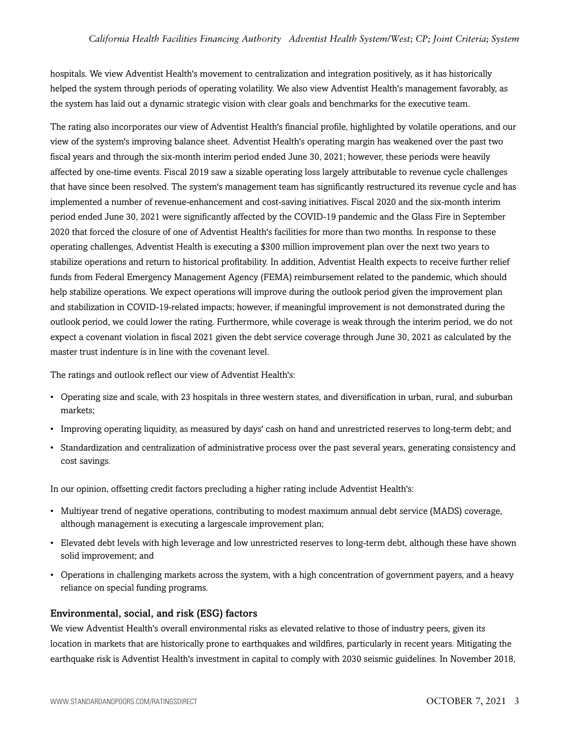hospitals. We view Adventist Health's movement to centralization and integration positively, as it has historically helped the system through periods of operating volatility. We also view Adventist Health's management favorably, as the system has laid out a dynamic strategic vision with clear goals and benchmarks for the executive team.

The rating also incorporates our view of Adventist Health's financial profile, highlighted by volatile operations, and our view of the system's improving balance sheet. Adventist Health's operating margin has weakened over the past two fiscal years and through the six-month interim period ended June 30, 2021; however, these periods were heavily affected by one-time events. Fiscal 2019 saw a sizable operating loss largely attributable to revenue cycle challenges that have since been resolved. The system's management team has significantly restructured its revenue cycle and has implemented a number of revenue-enhancement and cost-saving initiatives. Fiscal 2020 and the six-month interim period ended June 30, 2021 were significantly affected by the COVID-19 pandemic and the Glass Fire in September 2020 that forced the closure of one of Adventist Health's facilities for more than two months. In response to these operating challenges, Adventist Health is executing a \$300 million improvement plan over the next two years to stabilize operations and return to historical profitability. In addition, Adventist Health expects to receive further relief funds from Federal Emergency Management Agency (FEMA) reimbursement related to the pandemic, which should help stabilize operations. We expect operations will improve during the outlook period given the improvement plan and stabilization in COVID-19-related impacts; however, if meaningful improvement is not demonstrated during the outlook period, we could lower the rating. Furthermore, while coverage is weak through the interim period, we do not expect a covenant violation in fiscal 2021 given the debt service coverage through June 30, 2021 as calculated by the master trust indenture is in line with the covenant level.

The ratings and outlook reflect our view of Adventist Health's:

- Operating size and scale, with 23 hospitals in three western states, and diversification in urban, rural, and suburban markets;
- Improving operating liquidity, as measured by days' cash on hand and unrestricted reserves to long-term debt; and
- Standardization and centralization of administrative process over the past several years, generating consistency and cost savings.

In our opinion, offsetting credit factors precluding a higher rating include Adventist Health's:

- Multiyear trend of negative operations, contributing to modest maximum annual debt service (MADS) coverage, although management is executing a largescale improvement plan;
- Elevated debt levels with high leverage and low unrestricted reserves to long-term debt, although these have shown solid improvement; and
- Operations in challenging markets across the system, with a high concentration of government payers, and a heavy reliance on special funding programs.

#### Environmental, social, and risk (ESG) factors

We view Adventist Health's overall environmental risks as elevated relative to those of industry peers, given its location in markets that are historically prone to earthquakes and wildfires, particularly in recent years. Mitigating the earthquake risk is Adventist Health's investment in capital to comply with 2030 seismic guidelines. In November 2018,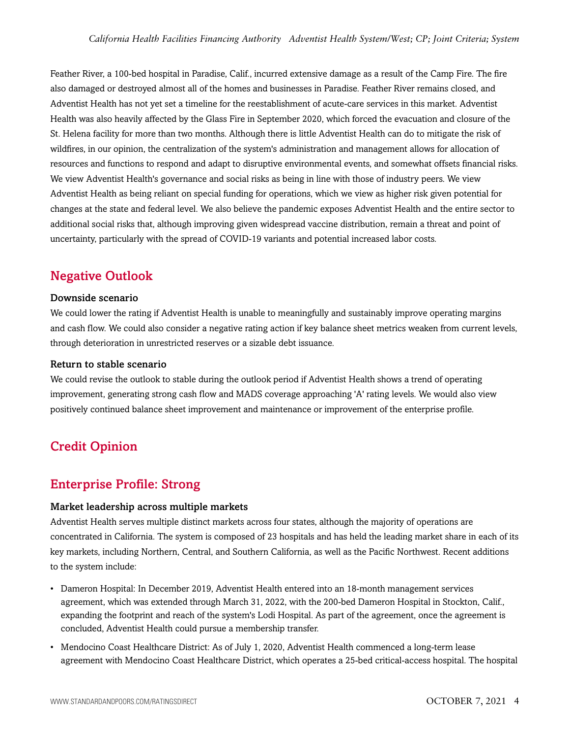Feather River, a 100-bed hospital in Paradise, Calif., incurred extensive damage as a result of the Camp Fire. The fire also damaged or destroyed almost all of the homes and businesses in Paradise. Feather River remains closed, and Adventist Health has not yet set a timeline for the reestablishment of acute-care services in this market. Adventist Health was also heavily affected by the Glass Fire in September 2020, which forced the evacuation and closure of the St. Helena facility for more than two months. Although there is little Adventist Health can do to mitigate the risk of wildfires, in our opinion, the centralization of the system's administration and management allows for allocation of resources and functions to respond and adapt to disruptive environmental events, and somewhat offsets financial risks. We view Adventist Health's governance and social risks as being in line with those of industry peers. We view Adventist Health as being reliant on special funding for operations, which we view as higher risk given potential for changes at the state and federal level. We also believe the pandemic exposes Adventist Health and the entire sector to additional social risks that, although improving given widespread vaccine distribution, remain a threat and point of uncertainty, particularly with the spread of COVID-19 variants and potential increased labor costs.

### Negative Outlook

#### Downside scenario

We could lower the rating if Adventist Health is unable to meaningfully and sustainably improve operating margins and cash flow. We could also consider a negative rating action if key balance sheet metrics weaken from current levels, through deterioration in unrestricted reserves or a sizable debt issuance.

#### Return to stable scenario

We could revise the outlook to stable during the outlook period if Adventist Health shows a trend of operating improvement, generating strong cash flow and MADS coverage approaching 'A' rating levels. We would also view positively continued balance sheet improvement and maintenance or improvement of the enterprise profile.

## Credit Opinion

### Enterprise Profile: Strong

#### Market leadership across multiple markets

Adventist Health serves multiple distinct markets across four states, although the majority of operations are concentrated in California. The system is composed of 23 hospitals and has held the leading market share in each of its key markets, including Northern, Central, and Southern California, as well as the Pacific Northwest. Recent additions to the system include:

- Dameron Hospital: In December 2019, Adventist Health entered into an 18-month management services agreement, which was extended through March 31, 2022, with the 200-bed Dameron Hospital in Stockton, Calif., expanding the footprint and reach of the system's Lodi Hospital. As part of the agreement, once the agreement is concluded, Adventist Health could pursue a membership transfer.
- Mendocino Coast Healthcare District: As of July 1, 2020, Adventist Health commenced a long-term lease agreement with Mendocino Coast Healthcare District, which operates a 25-bed critical-access hospital. The hospital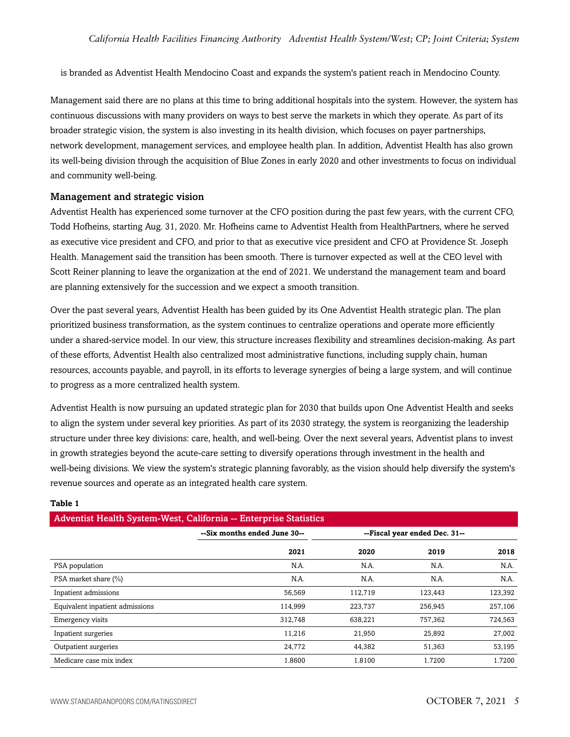is branded as Adventist Health Mendocino Coast and expands the system's patient reach in Mendocino County.

Management said there are no plans at this time to bring additional hospitals into the system. However, the system has continuous discussions with many providers on ways to best serve the markets in which they operate. As part of its broader strategic vision, the system is also investing in its health division, which focuses on payer partnerships, network development, management services, and employee health plan. In addition, Adventist Health has also grown its well-being division through the acquisition of Blue Zones in early 2020 and other investments to focus on individual and community well-being.

#### Management and strategic vision

Adventist Health has experienced some turnover at the CFO position during the past few years, with the current CFO, Todd Hofheins, starting Aug. 31, 2020. Mr. Hofheins came to Adventist Health from HealthPartners, where he served as executive vice president and CFO, and prior to that as executive vice president and CFO at Providence St. Joseph Health. Management said the transition has been smooth. There is turnover expected as well at the CEO level with Scott Reiner planning to leave the organization at the end of 2021. We understand the management team and board are planning extensively for the succession and we expect a smooth transition.

Over the past several years, Adventist Health has been guided by its One Adventist Health strategic plan. The plan prioritized business transformation, as the system continues to centralize operations and operate more efficiently under a shared-service model. In our view, this structure increases flexibility and streamlines decision-making. As part of these efforts, Adventist Health also centralized most administrative functions, including supply chain, human resources, accounts payable, and payroll, in its efforts to leverage synergies of being a large system, and will continue to progress as a more centralized health system.

Adventist Health is now pursuing an updated strategic plan for 2030 that builds upon One Adventist Health and seeks to align the system under several key priorities. As part of its 2030 strategy, the system is reorganizing the leadership structure under three key divisions: care, health, and well-being. Over the next several years, Adventist plans to invest in growth strategies beyond the acute-care setting to diversify operations through investment in the health and well-being divisions. We view the system's strategic planning favorably, as the vision should help diversify the system's revenue sources and operate as an integrated health care system.

| Adventist Health System-West, California -- Enterprise Statistics |                              |         |                               |         |  |  |  |  |
|-------------------------------------------------------------------|------------------------------|---------|-------------------------------|---------|--|--|--|--|
|                                                                   | --Six months ended June 30-- |         | --Fiscal year ended Dec. 31-- |         |  |  |  |  |
|                                                                   | 2021                         | 2020    | 2019                          | 2018    |  |  |  |  |
| PSA population                                                    | N.A.                         | N.A.    | N.A.                          | N.A.    |  |  |  |  |
| PSA market share (%)                                              | N.A.                         | N.A.    | N.A.                          | N.A.    |  |  |  |  |
| Inpatient admissions                                              | 56,569                       | 112,719 | 123,443                       | 123,392 |  |  |  |  |
| Equivalent inpatient admissions                                   | 114.999                      | 223,737 | 256,945                       | 257,106 |  |  |  |  |
| Emergency visits                                                  | 312,748                      | 638,221 | 757,362                       | 724,563 |  |  |  |  |
| Inpatient surgeries                                               | 11,216                       | 21,950  | 25,892                        | 27,002  |  |  |  |  |
| Outpatient surgeries                                              | 24,772                       | 44,382  | 51,363                        | 53,195  |  |  |  |  |
| Medicare case mix index                                           | 1.8600                       | 1.8100  | 1.7200                        | 1.7200  |  |  |  |  |

#### **Table 1**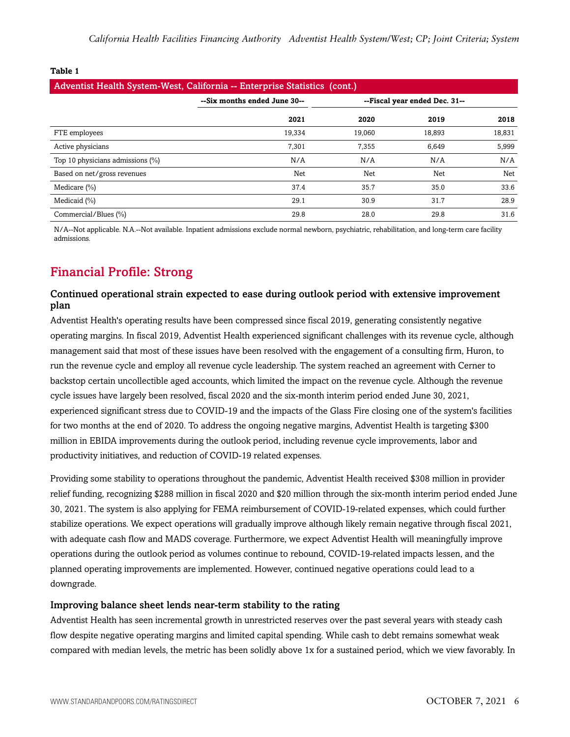| v<br>۰.<br>٩<br>w<br>٠<br>۹ |  |
|-----------------------------|--|
|-----------------------------|--|

| Adventist Health System-West, California -- Enterprise Statistics (cont.) |                              |        |                               |        |  |  |
|---------------------------------------------------------------------------|------------------------------|--------|-------------------------------|--------|--|--|
|                                                                           | --Six months ended June 30-- |        | --Fiscal year ended Dec. 31-- |        |  |  |
|                                                                           | 2021                         | 2020   | 2019                          | 2018   |  |  |
| FTE employees                                                             | 19,334                       | 19.060 | 18,893                        | 18,831 |  |  |
| Active physicians                                                         | 7,301                        | 7,355  | 6,649                         | 5,999  |  |  |
| Top 10 physicians admissions (%)                                          | N/A                          | N/A    | N/A                           | N/A    |  |  |
| Based on net/gross revenues                                               | Net                          | Net    | Net                           | Net    |  |  |
| Medicare $(\%)$                                                           | 37.4                         | 35.7   | 35.0                          | 33.6   |  |  |
| Medicaid (%)                                                              | 29.1                         | 30.9   | 31.7                          | 28.9   |  |  |
| Commercial/Blues (%)                                                      | 29.8                         | 28.0   | 29.8                          | 31.6   |  |  |

N/A--Not applicable. N.A.--Not available. Inpatient admissions exclude normal newborn, psychiatric, rehabilitation, and long-term care facility admissions.

## Financial Profile: Strong

#### Continued operational strain expected to ease during outlook period with extensive improvement plan

Adventist Health's operating results have been compressed since fiscal 2019, generating consistently negative operating margins. In fiscal 2019, Adventist Health experienced significant challenges with its revenue cycle, although management said that most of these issues have been resolved with the engagement of a consulting firm, Huron, to run the revenue cycle and employ all revenue cycle leadership. The system reached an agreement with Cerner to backstop certain uncollectible aged accounts, which limited the impact on the revenue cycle. Although the revenue cycle issues have largely been resolved, fiscal 2020 and the six-month interim period ended June 30, 2021, experienced significant stress due to COVID-19 and the impacts of the Glass Fire closing one of the system's facilities for two months at the end of 2020. To address the ongoing negative margins, Adventist Health is targeting \$300 million in EBIDA improvements during the outlook period, including revenue cycle improvements, labor and productivity initiatives, and reduction of COVID-19 related expenses.

Providing some stability to operations throughout the pandemic, Adventist Health received \$308 million in provider relief funding, recognizing \$288 million in fiscal 2020 and \$20 million through the six-month interim period ended June 30, 2021. The system is also applying for FEMA reimbursement of COVID-19-related expenses, which could further stabilize operations. We expect operations will gradually improve although likely remain negative through fiscal 2021, with adequate cash flow and MADS coverage. Furthermore, we expect Adventist Health will meaningfully improve operations during the outlook period as volumes continue to rebound, COVID-19-related impacts lessen, and the planned operating improvements are implemented. However, continued negative operations could lead to a downgrade.

#### Improving balance sheet lends near-term stability to the rating

Adventist Health has seen incremental growth in unrestricted reserves over the past several years with steady cash flow despite negative operating margins and limited capital spending. While cash to debt remains somewhat weak compared with median levels, the metric has been solidly above 1x for a sustained period, which we view favorably. In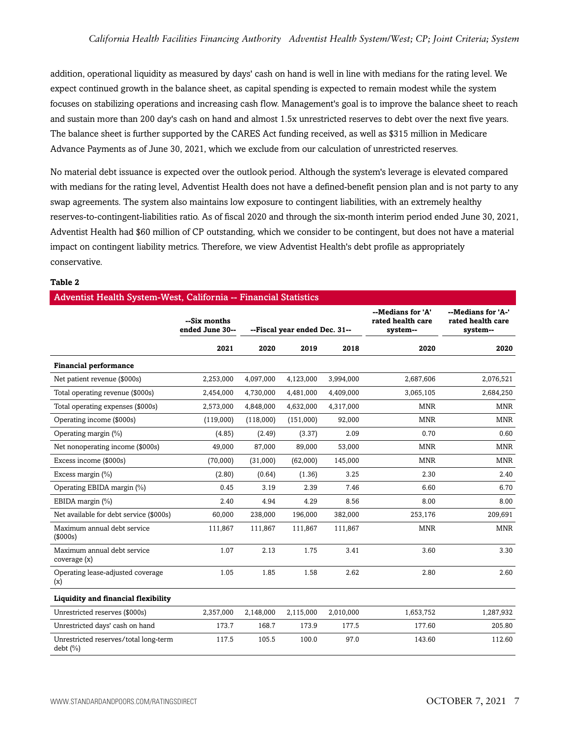addition, operational liquidity as measured by days' cash on hand is well in line with medians for the rating level. We expect continued growth in the balance sheet, as capital spending is expected to remain modest while the system focuses on stabilizing operations and increasing cash flow. Management's goal is to improve the balance sheet to reach and sustain more than 200 day's cash on hand and almost 1.5x unrestricted reserves to debt over the next five years. The balance sheet is further supported by the CARES Act funding received, as well as \$315 million in Medicare Advance Payments as of June 30, 2021, which we exclude from our calculation of unrestricted reserves.

No material debt issuance is expected over the outlook period. Although the system's leverage is elevated compared with medians for the rating level, Adventist Health does not have a defined-benefit pension plan and is not party to any swap agreements. The system also maintains low exposure to contingent liabilities, with an extremely healthy reserves-to-contingent-liabilities ratio. As of fiscal 2020 and through the six-month interim period ended June 30, 2021, Adventist Health had \$60 million of CP outstanding, which we consider to be contingent, but does not have a material impact on contingent liability metrics. Therefore, we view Adventist Health's debt profile as appropriately conservative.

#### **Table 2**

#### Adventist Health System-West, California -- Financial Statistics

| Adventist Health Dystem-west, Camorina -- I mancial biatistics |                                 |                               |           |                                                    |                                                     |            |
|----------------------------------------------------------------|---------------------------------|-------------------------------|-----------|----------------------------------------------------|-----------------------------------------------------|------------|
|                                                                | --Six months<br>ended June 30-- | --Fiscal year ended Dec. 31-- |           | --Medians for 'A'<br>rated health care<br>system-- | --Medians for 'A-'<br>rated health care<br>system-- |            |
|                                                                | 2021                            | 2020                          | 2019      | 2018                                               | 2020                                                | 2020       |
| <b>Financial performance</b>                                   |                                 |                               |           |                                                    |                                                     |            |
| Net patient revenue (\$000s)                                   | 2,253,000                       | 4,097,000                     | 4,123,000 | 3,994,000                                          | 2,687,606                                           | 2,076,521  |
| Total operating revenue (\$000s)                               | 2,454,000                       | 4,730,000                     | 4,481,000 | 4,409,000                                          | 3,065,105                                           | 2,684,250  |
| Total operating expenses (\$000s)                              | 2,573,000                       | 4,848,000                     | 4,632,000 | 4,317,000                                          | <b>MNR</b>                                          | <b>MNR</b> |
| Operating income (\$000s)                                      | (119,000)                       | (118,000)                     | (151,000) | 92,000                                             | <b>MNR</b>                                          | <b>MNR</b> |
| Operating margin (%)                                           | (4.85)                          | (2.49)                        | (3.37)    | 2.09                                               | 0.70                                                | 0.60       |
| Net nonoperating income (\$000s)                               | 49,000                          | 87,000                        | 89,000    | 53,000                                             | <b>MNR</b>                                          | <b>MNR</b> |
| Excess income (\$000s)                                         | (70,000)                        | (31,000)                      | (62,000)  | 145,000                                            | <b>MNR</b>                                          | <b>MNR</b> |
| Excess margin (%)                                              | (2.80)                          | (0.64)                        | (1.36)    | 3.25                                               | 2.30                                                | 2.40       |
| Operating EBIDA margin (%)                                     | 0.45                            | 3.19                          | 2.39      | 7.46                                               | 6.60                                                | 6.70       |
| EBIDA margin (%)                                               | 2.40                            | 4.94                          | 4.29      | 8.56                                               | 8.00                                                | 8.00       |
| Net available for debt service (\$000s)                        | 60,000                          | 238,000                       | 196,000   | 382,000                                            | 253,176                                             | 209,691    |
| Maximum annual debt service<br>(\$000s)                        | 111,867                         | 111,867                       | 111,867   | 111,867                                            | <b>MNR</b>                                          | <b>MNR</b> |
| Maximum annual debt service<br>coverage (x)                    | 1.07                            | 2.13                          | 1.75      | 3.41                                               | 3.60                                                | 3.30       |
| Operating lease-adjusted coverage<br>(x)                       | 1.05                            | 1.85                          | 1.58      | 2.62                                               | 2.80                                                | 2.60       |
| Liquidity and financial flexibility                            |                                 |                               |           |                                                    |                                                     |            |
| Unrestricted reserves (\$000s)                                 | 2,357,000                       | 2,148,000                     | 2,115,000 | 2,010,000                                          | 1,653,752                                           | 1,287,932  |
| Unrestricted days' cash on hand                                | 173.7                           | 168.7                         | 173.9     | 177.5                                              | 177.60                                              | 205.80     |
| Unrestricted reserves/total long-term<br>debt (%)              | 117.5                           | 105.5                         | 100.0     | 97.0                                               | 143.60                                              | 112.60     |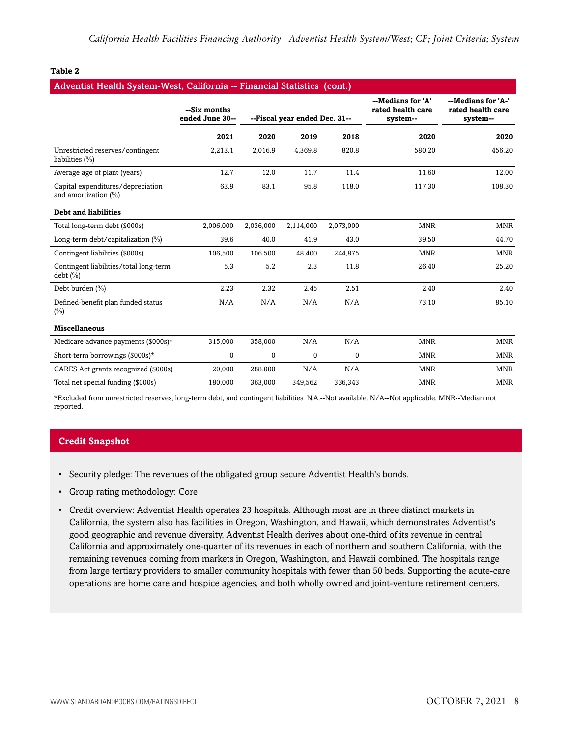#### **Table 2**

| Adventist Health System-West, California -- Financial Statistics (cont.) |                                 |           |                               |              |                                                    |                                                     |
|--------------------------------------------------------------------------|---------------------------------|-----------|-------------------------------|--------------|----------------------------------------------------|-----------------------------------------------------|
|                                                                          | --Six months<br>ended June 30-- |           | --Fiscal year ended Dec. 31-- |              | --Medians for 'A'<br>rated health care<br>system-- | --Medians for 'A-'<br>rated health care<br>system-- |
|                                                                          | 2021                            | 2020      | 2019                          | 2018         | 2020                                               | 2020                                                |
| Unrestricted reserves/contingent<br>liabilities (%)                      | 2,213.1                         | 2,016.9   | 4,369.8                       | 820.8        | 580.20                                             | 456.20                                              |
| Average age of plant (years)                                             | 12.7                            | 12.0      | 11.7                          | 11.4         | 11.60                                              | 12.00                                               |
| Capital expenditures/depreciation<br>and amortization (%)                | 63.9                            | 83.1      | 95.8                          | 118.0        | 117.30                                             | 108.30                                              |
| <b>Debt and liabilities</b>                                              |                                 |           |                               |              |                                                    |                                                     |
| Total long-term debt (\$000s)                                            | 2,006,000                       | 2,036,000 | 2,114,000                     | 2,073,000    | <b>MNR</b>                                         | <b>MNR</b>                                          |
| Long-term debt/capitalization (%)                                        | 39.6                            | 40.0      | 41.9                          | 43.0         | 39.50                                              | 44.70                                               |
| Contingent liabilities (\$000s)                                          | 106,500                         | 106,500   | 48,400                        | 244,875      | <b>MNR</b>                                         | <b>MNR</b>                                          |
| Contingent liabilities/total long-term<br>debt $(\% )$                   | 5.3                             | 5.2       | 2.3                           | 11.8         | 26.40                                              | 25.20                                               |
| Debt burden (%)                                                          | 2.23                            | 2.32      | 2.45                          | 2.51         | 2.40                                               | 2.40                                                |
| Defined-benefit plan funded status<br>$(\%)$                             | N/A                             | N/A       | N/A                           | N/A          | 73.10                                              | 85.10                                               |
| <b>Miscellaneous</b>                                                     |                                 |           |                               |              |                                                    |                                                     |
| Medicare advance payments (\$000s)*                                      | 315,000                         | 358,000   | N/A                           | N/A          | <b>MNR</b>                                         | <b>MNR</b>                                          |
| Short-term borrowings (\$000s)*                                          | $\Omega$                        | $\Omega$  | $\Omega$                      | $\mathbf{0}$ | <b>MNR</b>                                         | <b>MNR</b>                                          |
| CARES Act grants recognized (\$000s)                                     | 20,000                          | 288,000   | N/A                           | N/A          | <b>MNR</b>                                         | <b>MNR</b>                                          |
| Total net special funding (\$000s)                                       | 180,000                         | 363,000   | 349,562                       | 336,343      | <b>MNR</b>                                         | <b>MNR</b>                                          |

\*Excluded from unrestricted reserves, long-term debt, and contingent liabilities. N.A.--Not available. N/A--Not applicable. MNR--Median not reported.

#### **Credit Snapshot**

- Security pledge: The revenues of the obligated group secure Adventist Health's bonds.
- Group rating methodology: Core
- Credit overview: Adventist Health operates 23 hospitals. Although most are in three distinct markets in California, the system also has facilities in Oregon, Washington, and Hawaii, which demonstrates Adventist's good geographic and revenue diversity. Adventist Health derives about one-third of its revenue in central California and approximately one-quarter of its revenues in each of northern and southern California, with the remaining revenues coming from markets in Oregon, Washington, and Hawaii combined. The hospitals range from large tertiary providers to smaller community hospitals with fewer than 50 beds. Supporting the acute-care operations are home care and hospice agencies, and both wholly owned and joint-venture retirement centers.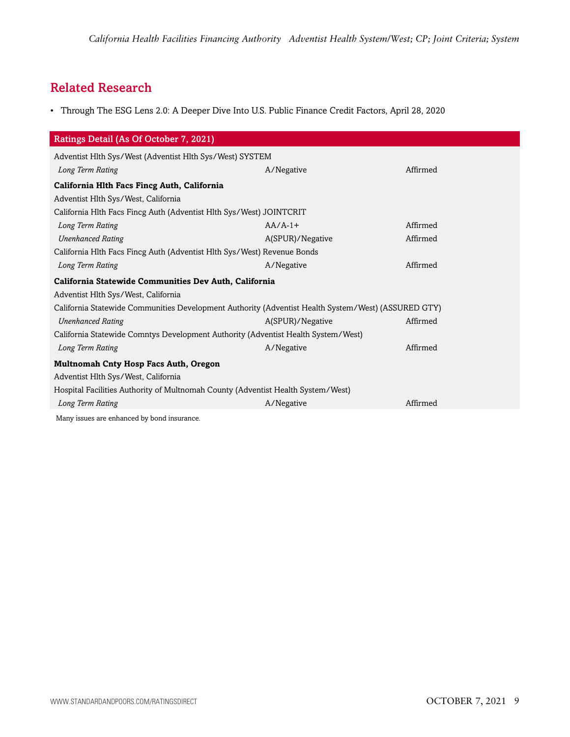## Related Research

• Through The ESG Lens 2.0: A Deeper Dive Into U.S. Public Finance Credit Factors, April 28, 2020

| Ratings Detail (As Of October 7, 2021)                                                              |                  |          |  |  |  |  |
|-----------------------------------------------------------------------------------------------------|------------------|----------|--|--|--|--|
| Adventist Hlth Sys/West (Adventist Hlth Sys/West) SYSTEM                                            |                  |          |  |  |  |  |
| Long Term Rating                                                                                    | A/Negative       | Affirmed |  |  |  |  |
| California Hlth Facs Fincg Auth, California                                                         |                  |          |  |  |  |  |
| Adventist Hlth Sys/West, California                                                                 |                  |          |  |  |  |  |
| California Hlth Facs Fincg Auth (Adventist Hlth Sys/West) JOINTCRIT                                 |                  |          |  |  |  |  |
| Long Term Rating                                                                                    | $AA/A-1+$        | Affirmed |  |  |  |  |
| <b>Unenhanced Rating</b>                                                                            | A(SPUR)/Negative | Affirmed |  |  |  |  |
| California Hlth Facs Fincg Auth (Adventist Hlth Sys/West) Revenue Bonds                             |                  |          |  |  |  |  |
| Long Term Rating                                                                                    | A/Negative       | Affirmed |  |  |  |  |
| California Statewide Communities Dev Auth, California                                               |                  |          |  |  |  |  |
| Adventist Hlth Sys/West, California                                                                 |                  |          |  |  |  |  |
| California Statewide Communities Development Authority (Adventist Health System/West) (ASSURED GTY) |                  |          |  |  |  |  |
| <b>Unenhanced Rating</b>                                                                            | A(SPUR)/Negative | Affirmed |  |  |  |  |
| California Statewide Comntys Development Authority (Adventist Health System/West)                   |                  |          |  |  |  |  |
| Long Term Rating                                                                                    | A/Negative       | Affirmed |  |  |  |  |
| Multnomah Cnty Hosp Facs Auth, Oregon                                                               |                  |          |  |  |  |  |
| Adventist Hlth Sys/West, California                                                                 |                  |          |  |  |  |  |
| Hospital Facilities Authority of Multnomah County (Adventist Health System/West)                    |                  |          |  |  |  |  |
| Long Term Rating                                                                                    | A/Negative       | Affirmed |  |  |  |  |
| Many issues are enhanced by bond insurance.                                                         |                  |          |  |  |  |  |